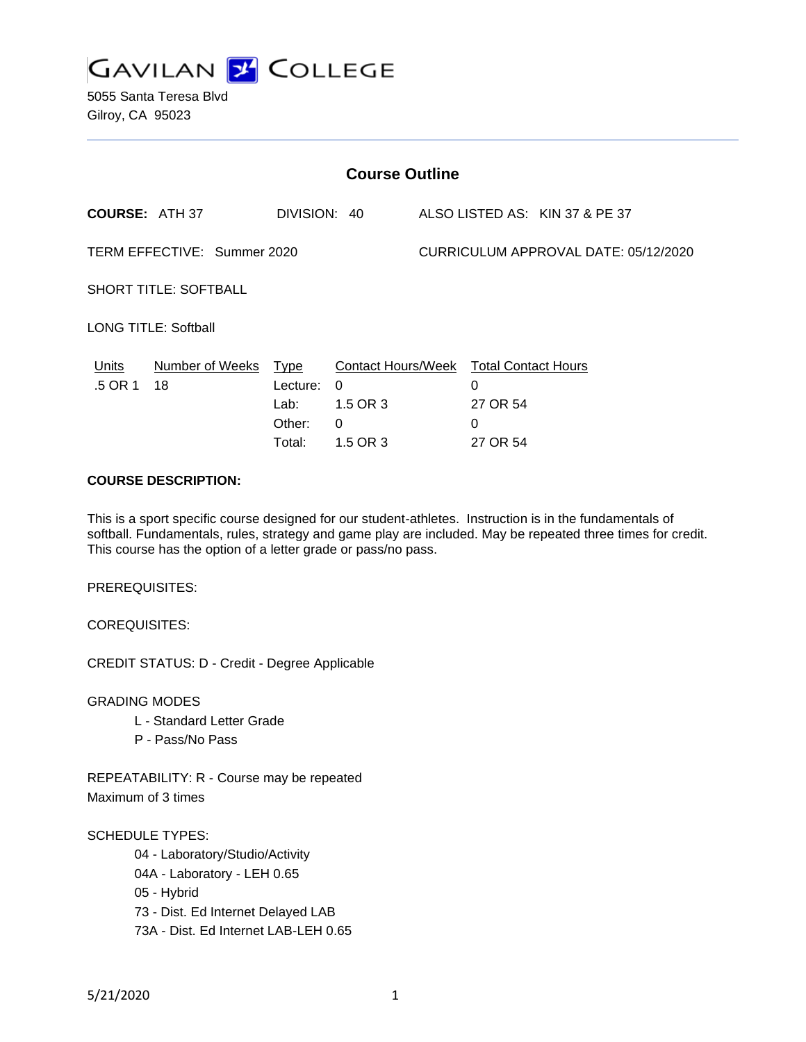

5055 Santa Teresa Blvd Gilroy, CA 95023

| <b>Course Outline</b>        |                       |                                                     |                                                             |                                      |                                                                     |                                |
|------------------------------|-----------------------|-----------------------------------------------------|-------------------------------------------------------------|--------------------------------------|---------------------------------------------------------------------|--------------------------------|
| <b>COURSE: ATH 37</b>        |                       | DIVISION: 40                                        |                                                             |                                      |                                                                     | ALSO LISTED AS: KIN 37 & PE 37 |
| TERM EFFECTIVE: Summer 2020  |                       |                                                     |                                                             | CURRICULUM APPROVAL DATE: 05/12/2020 |                                                                     |                                |
| <b>SHORT TITLE: SOFTBALL</b> |                       |                                                     |                                                             |                                      |                                                                     |                                |
| <b>LONG TITLE: Softball</b>  |                       |                                                     |                                                             |                                      |                                                                     |                                |
| Units<br>.5 OR 1             | Number of Weeks<br>18 | <u>Type</u><br>Lecture:<br>Lab:<br>Other:<br>Total: | Contact Hours/Week<br>$\Omega$<br>1.5 OR 3<br>0<br>1.5 OR 3 |                                      | <b>Total Contact Hours</b><br>$\Omega$<br>27 OR 54<br>0<br>27 OR 54 |                                |

## **COURSE DESCRIPTION:**

This is a sport specific course designed for our student-athletes. Instruction is in the fundamentals of softball. Fundamentals, rules, strategy and game play are included. May be repeated three times for credit. This course has the option of a letter grade or pass/no pass.

PREREQUISITES:

COREQUISITES:

CREDIT STATUS: D - Credit - Degree Applicable

GRADING MODES

- L Standard Letter Grade
- P Pass/No Pass

REPEATABILITY: R - Course may be repeated Maximum of 3 times

SCHEDULE TYPES:

04 - Laboratory/Studio/Activity

04A - Laboratory - LEH 0.65

05 - Hybrid

73 - Dist. Ed Internet Delayed LAB

73A - Dist. Ed Internet LAB-LEH 0.65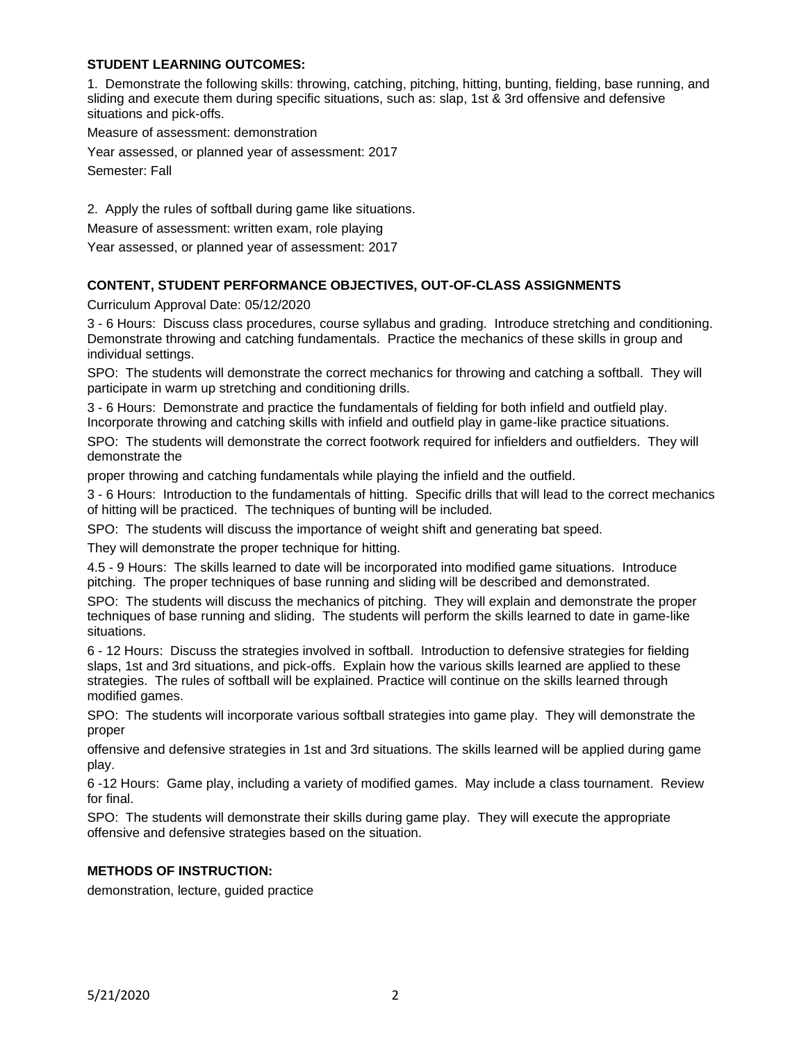## **STUDENT LEARNING OUTCOMES:**

1. Demonstrate the following skills: throwing, catching, pitching, hitting, bunting, fielding, base running, and sliding and execute them during specific situations, such as: slap, 1st & 3rd offensive and defensive situations and pick-offs.

Measure of assessment: demonstration

Year assessed, or planned year of assessment: 2017 Semester: Fall

2. Apply the rules of softball during game like situations.

Measure of assessment: written exam, role playing

Year assessed, or planned year of assessment: 2017

## **CONTENT, STUDENT PERFORMANCE OBJECTIVES, OUT-OF-CLASS ASSIGNMENTS**

Curriculum Approval Date: 05/12/2020

3 - 6 Hours: Discuss class procedures, course syllabus and grading. Introduce stretching and conditioning. Demonstrate throwing and catching fundamentals. Practice the mechanics of these skills in group and individual settings.

SPO: The students will demonstrate the correct mechanics for throwing and catching a softball. They will participate in warm up stretching and conditioning drills.

3 - 6 Hours: Demonstrate and practice the fundamentals of fielding for both infield and outfield play. Incorporate throwing and catching skills with infield and outfield play in game-like practice situations.

SPO: The students will demonstrate the correct footwork required for infielders and outfielders. They will demonstrate the

proper throwing and catching fundamentals while playing the infield and the outfield.

3 - 6 Hours: Introduction to the fundamentals of hitting. Specific drills that will lead to the correct mechanics of hitting will be practiced. The techniques of bunting will be included.

SPO: The students will discuss the importance of weight shift and generating bat speed.

They will demonstrate the proper technique for hitting.

4.5 - 9 Hours: The skills learned to date will be incorporated into modified game situations. Introduce pitching. The proper techniques of base running and sliding will be described and demonstrated.

SPO: The students will discuss the mechanics of pitching. They will explain and demonstrate the proper techniques of base running and sliding. The students will perform the skills learned to date in game-like situations.

6 - 12 Hours: Discuss the strategies involved in softball. Introduction to defensive strategies for fielding slaps, 1st and 3rd situations, and pick-offs. Explain how the various skills learned are applied to these strategies. The rules of softball will be explained. Practice will continue on the skills learned through modified games.

SPO: The students will incorporate various softball strategies into game play. They will demonstrate the proper

offensive and defensive strategies in 1st and 3rd situations. The skills learned will be applied during game play.

6 -12 Hours: Game play, including a variety of modified games. May include a class tournament. Review for final.

SPO: The students will demonstrate their skills during game play. They will execute the appropriate offensive and defensive strategies based on the situation.

#### **METHODS OF INSTRUCTION:**

demonstration, lecture, guided practice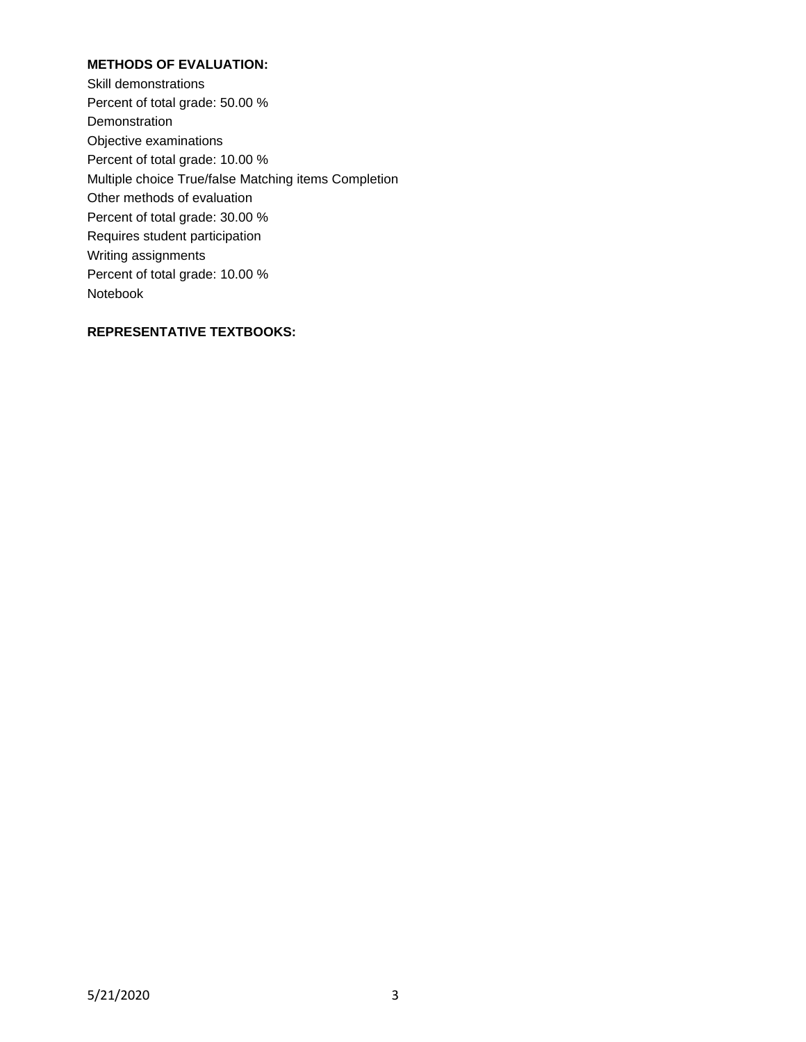## **METHODS OF EVALUATION:**

Skill demonstrations Percent of total grade: 50.00 % Demonstration Objective examinations Percent of total grade: 10.00 % Multiple choice True/false Matching items Completion Other methods of evaluation Percent of total grade: 30.00 % Requires student participation Writing assignments Percent of total grade: 10.00 % Notebook

## **REPRESENTATIVE TEXTBOOKS:**